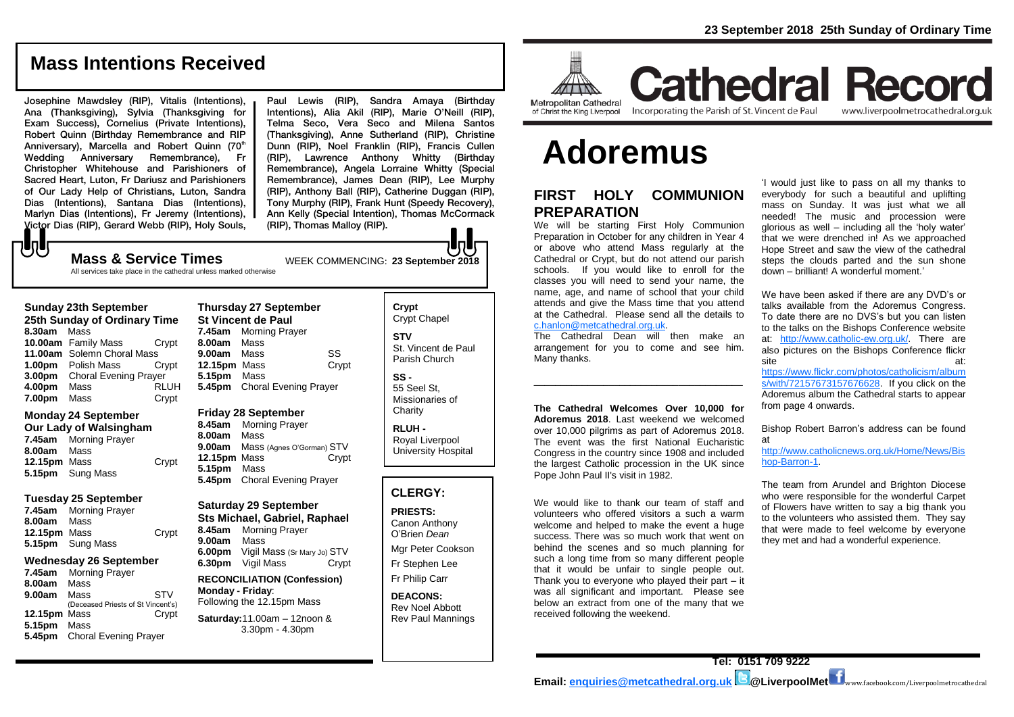## **Mass Intentions Received**

Josephine Mawdsley (RIP), Vitalis (Intentions), Ana (Thanksgiving), Sylvia (Thanksgiving for Exam Success), Cornelius (Private Intentions), Robert Quinn (Birthday Remembrance and RIP Anniversary), Marcella and Robert Quinn (70<sup>th</sup> Wedding Anniversary Remembrance), Fr Christopher Whitehouse and Parishioners of Sacred Heart, Luton, Fr Dariusz and Parishioners of Our Lady Help of Christians, Luton, Sandra Dias (Intentions), Santana Dias (Intentions), Marlyn Dias (Intentions), Fr Jeremy (Intentions), Victor Dias (RIP), Gerard Webb (RIP), Holy Souls,

Paul Lewis (RIP), Sandra Amaya (Birthday Intentions), Alia Akil (RIP), Marie O'Neill (RIP), Telma Seco, Vera Seco and Milena Santos (Thanksgiving), Anne Sutherland (RIP), Christine Dunn (RIP), Noel Franklin (RIP), Francis Cullen (RIP), Lawrence Anthony Whitty (Birthday Remembrance), Angela Lorraine Whitty (Special Remembrance), James Dean (RIP), Lee Murphy (RIP), Anthony Ball (RIP), Catherine Duggan (RIP), Tony Murphy (RIP), Frank Hunt (Speedy Recovery), Ann Kelly (Special Intention), Thomas McCormack (RIP), Thomas Malloy (RIP).

## **Mass & Service Times** WEEK COMMENCING: 23 September 2018

All services take place in the cathedral unless marked otherwise

#### **Sunday 23th September**

小し

**25th Sunday of Ordinary Time 8.30am** Mass **10.00am** Family Mass Crypt **11.00am** Solemn Choral Mass **1.00pm** Polish Mass Crypt **3.00pm** Choral Evening Prayer **4.00pm** Mass RLUH **7.00pm** Mass Crypt

## **Monday 24 September**

**Our Lady of Walsingham 7.45am** Morning Prayer **8.00am** Mass **12.15pm** Mass Crypt **5.15pm** Sung Mass

#### **Tuesday 25 September**

**7.45am** Morning Prayer **8.00am** Mass **12.15pm** Mass Crypt **5.15pm** Sung Mass

## **Wednesday 26 September**

| 7.45am       | <b>Morning Prayer</b>              |            |
|--------------|------------------------------------|------------|
| 8.00am       | Mass                               |            |
| 9.00am       | Mass                               | <b>STV</b> |
|              | (Deceased Priests of St Vincent's) |            |
| 12.15pm Mass |                                    | Crypt      |
| 5.15pm       | Mass                               |            |
| 5.45pm       | <b>Choral Evening Prayer</b>       |            |

## **Thursday 27 September St Vincent de Paul 7.45am** Morning Prayer **8.00am** Mass **9.00am** Mass SS **12.15pm** Mass Crypt **5.15pm** Mass **5.45pm** Choral Evening Prayer

#### **Friday 28 September**

**8.45am** Morning Prayer **8.00am** Mass **9.00am** Mass (Agnes O'Gorman) STV **12.15pm** Mass Crypt **5.15pm** Mass **5.45pm** Choral Evening Prayer

#### **Saturday 29 September Sts Michael, Gabriel, Raphael 8.45am** Morning Prayer **9.00am** Mass **6.00pm** Vigil Mass (Sr Mary Jo) STV **6.30pm** Vigil Mass Crypt

**RECONCILIATION (Confession) Monday - Friday**: Following the 12.15pm Mass

## **Saturday:**11.00am – 12noon & 3.30pm - 4.30pm

**Crypt**  Crypt Chapel **STV** St. Vincent de Paul Parish Church

Joh

**SS -** 55 Seel St, Missionaries of **Charity** 

**RLUH -** Royal Liverpool University Hospital

## **CLERGY:**

## **PRIESTS:**

Canon Anthony O'Brien *Dean* Mgr Peter Cookson

Fr Stephen Lee Fr Philip Carr

**DEACONS:**

Rev Noel Abbott Rev Paul Mannings



of Christ the King Liverpool

## **Cathedral Record** Incorporating the Parish of St. Vincent de Paul www.liverpoolmetrocathedral.org.uk

# **Adoremus**

## **FIRST HOLY COMMUNION PREPARATION**

We will be starting First Holy Communion Preparation in October for any children in Year 4 or above who attend Mass regularly at the Cathedral or Crypt, but do not attend our parish schools. If you would like to enroll for the classes you will need to send your name, the name, age, and name of school that your child attends and give the Mass time that you attend at the Cathedral. Please send all the details to [c.hanlon@metcathedral.org.uk.](mailto:c.hanlon@metcathedral.org.uk)

The Cathedral Dean will then make an arrangement for you to come and see him. Many thanks.

\_\_\_\_\_\_\_\_\_\_\_\_\_\_\_\_\_\_\_\_\_\_\_\_\_\_\_\_\_\_\_\_\_\_\_\_\_\_\_

**The Cathedral Welcomes Over 10,000 for Adoremus 2018**. Last weekend we welcomed over 10,000 pilgrims as part of Adoremus 2018. The event was the first National Eucharistic Congress in the country since 1908 and included the largest Catholic procession in the UK since Pope John Paul II's visit in 1982.

We would like to thank our team of staff and volunteers who offered visitors a such a warm welcome and helped to make the event a huge success. There was so much work that went on behind the scenes and so much planning for such a long time from so many different people that it would be unfair to single people out. Thank you to everyone who played their part – it was all significant and important. Please see below an extract from one of the many that we received following the weekend.

'I would just like to pass on all my thanks to everybody for such a beautiful and uplifting mass on Sunday. It was just what we all needed! The music and procession were glorious as well – including all the 'holy water' that we were drenched in! As we approached Hope Street and saw the view of the cathedral steps the clouds parted and the sun shone down – brilliant! A wonderful moment.'

We have been asked if there are any DVD's or talks available from the Adoremus Congress. To date there are no DVS's but you can listen to the talks on the Bishops Conference website at: [http://www.catholic-ew.org.uk/.](http://www.catholic-ew.org.uk/) There are also pictures on the Bishops Conference flickr site at: [https://www.flickr.com/photos/catholicism/album](https://www.flickr.com/photos/catholicism/albums/with/72157673157676628) [s/with/72157673157676628.](https://www.flickr.com/photos/catholicism/albums/with/72157673157676628) If you click on the Adoremus album the Cathedral starts to appear from page 4 onwards.

Bishop Robert Barron's address can be found at

[http://www.catholicnews.org.uk/Home/News/Bis](http://www.catholicnews.org.uk/Home/News/Bishop-Barron-1) [hop-Barron-1.](http://www.catholicnews.org.uk/Home/News/Bishop-Barron-1)

The team from Arundel and Brighton Diocese who were responsible for the wonderful Carpet of Flowers have written to say a big thank you to the volunteers who assisted them. They say that were made to feel welcome by everyone they met and had a wonderful experience.